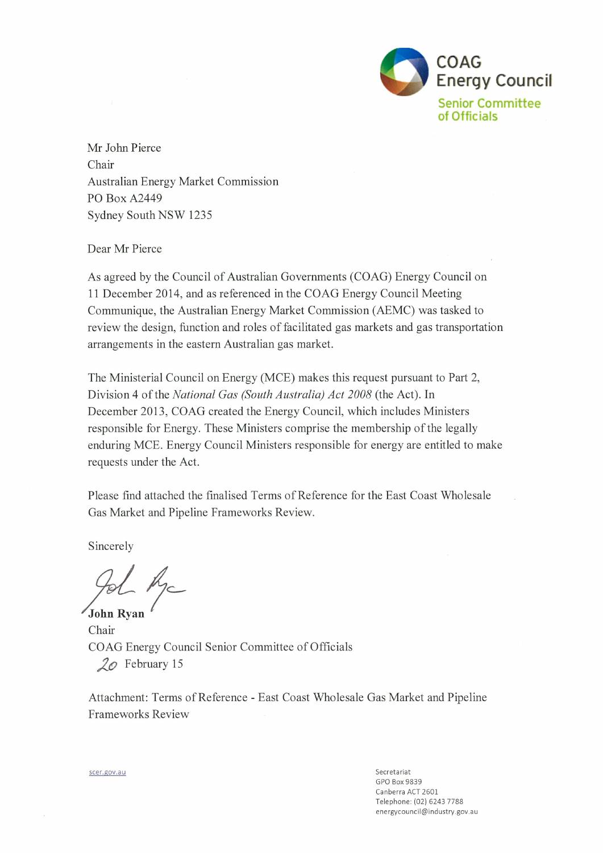

Mr John Pierce Chair Australian Energy Market Commission **PO Box A2449** Sydney South NSW 1235

# Dear Mr Pierce

As agreed by the Council of Australian Governments (COAG) Energy Council on 11 December 2014, and as referenced in the COAG Energy Council Meeting Communique, the Australian Energy Market Commission (AEMC) was tasked to review the design, function and roles of facilitated gas markets and gas transportation arrangements in the eastern Australian gas market.

The Ministerial Council on Energy (MCE) makes this request pursuant to Part 2, Division 4 of the National Gas (South Australia) Act 2008 (the Act). In December 2013, COAG created the Energy Council, which includes Ministers responsible for Energy. These Ministers comprise the membership of the legally enduring MCE. Energy Council Ministers responsible for energy are entitled to make requests under the Act.

Please find attached the finalised Terms of Reference for the East Coast Wholesale Gas Market and Pipeline Frameworks Review.

Sincerely

John Ryan

Chair COAG Energy Council Senior Committee of Officials  $2\varphi$  February 15

Attachment: Terms of Reference - East Coast Wholesale Gas Market and Pipeline **Frameworks Review** 

> Secretariat GPO Box 9839 Canberra ACT 2601 Telephone: (02) 6243 7788 energycouncil@industry.gov.au

scer.gov.au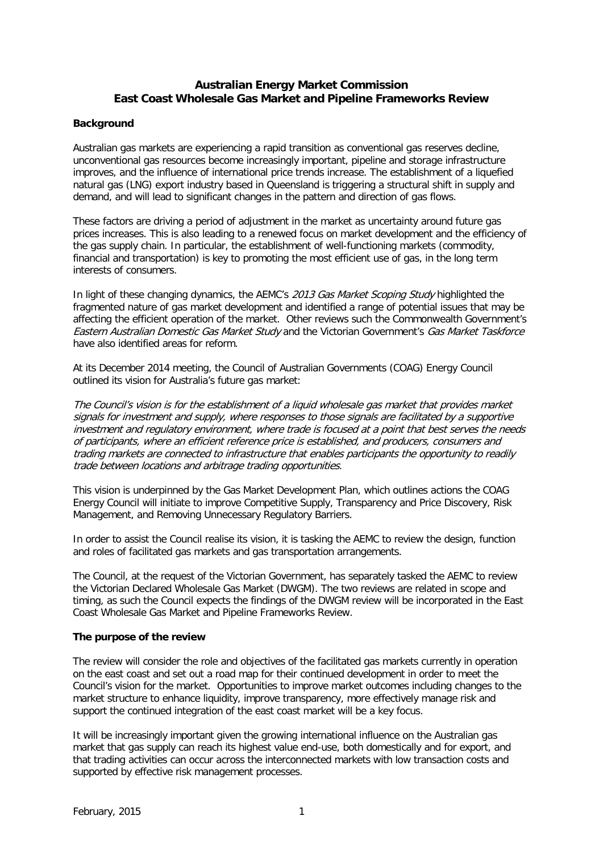# **Australian Energy Market Commission East Coast Wholesale Gas Market and Pipeline Frameworks Review**

## **Background**

Australian gas markets are experiencing a rapid transition as conventional gas reserves decline, unconventional gas resources become increasingly important, pipeline and storage infrastructure improves, and the influence of international price trends increase. The establishment of a liquefied natural gas (LNG) export industry based in Queensland is triggering a structural shift in supply and demand, and will lead to significant changes in the pattern and direction of gas flows.

These factors are driving a period of adjustment in the market as uncertainty around future gas prices increases. This is also leading to a renewed focus on market development and the efficiency of the gas supply chain. In particular, the establishment of well-functioning markets (commodity, financial and transportation) is key to promoting the most efficient use of gas, in the long term interests of consumers.

In light of these changing dynamics, the AEMC's 2013 Gas Market Scoping Study highlighted the fragmented nature of gas market development and identified a range of potential issues that may be affecting the efficient operation of the market. Other reviews such the Commonwealth Government's Eastern Australian Domestic Gas Market Study and the Victorian Government's Gas Market Taskforce have also identified areas for reform.

At its December 2014 meeting, the Council of Australian Governments (COAG) Energy Council outlined its vision for Australia's future gas market:

The Council's vision is for the establishment of a liquid wholesale gas market that provides market signals for investment and supply, where responses to those signals are facilitated by a supportive investment and regulatory environment, where trade is focused at a point that best serves the needs of participants, where an efficient reference price is established, and producers, consumers and trading markets are connected to infrastructure that enables participants the opportunity to readily trade between locations and arbitrage trading opportunities.

This vision is underpinned by the Gas Market Development Plan, which outlines actions the COAG Energy Council will initiate to improve Competitive Supply, Transparency and Price Discovery, Risk Management, and Removing Unnecessary Regulatory Barriers.

In order to assist the Council realise its vision, it is tasking the AEMC to review the design, function and roles of facilitated gas markets and gas transportation arrangements.

The Council, at the request of the Victorian Government, has separately tasked the AEMC to review the Victorian Declared Wholesale Gas Market (DWGM). The two reviews are related in scope and timing, as such the Council expects the findings of the DWGM review will be incorporated in the East Coast Wholesale Gas Market and Pipeline Frameworks Review.

## **The purpose of the review**

The review will consider the role and objectives of the facilitated gas markets currently in operation on the east coast and set out a road map for their continued development in order to meet the Council's vision for the market. Opportunities to improve market outcomes including changes to the market structure to enhance liquidity, improve transparency, more effectively manage risk and support the continued integration of the east coast market will be a key focus.

It will be increasingly important given the growing international influence on the Australian gas market that gas supply can reach its highest value end-use, both domestically and for export, and that trading activities can occur across the interconnected markets with low transaction costs and supported by effective risk management processes.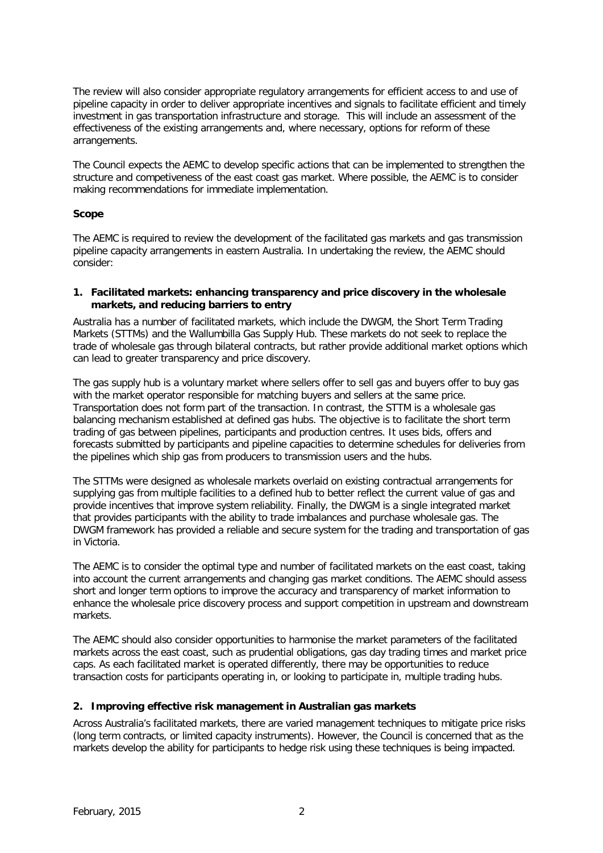The review will also consider appropriate regulatory arrangements for efficient access to and use of pipeline capacity in order to deliver appropriate incentives and signals to facilitate efficient and timely investment in gas transportation infrastructure and storage. This will include an assessment of the effectiveness of the existing arrangements and, where necessary, options for reform of these arrangements.

The Council expects the AEMC to develop specific actions that can be implemented to strengthen the structure and competiveness of the east coast gas market. Where possible, the AEMC is to consider making recommendations for immediate implementation.

## **Scope**

The AEMC is required to review the development of the facilitated gas markets and gas transmission pipeline capacity arrangements in eastern Australia. In undertaking the review, the AEMC should consider:

#### **1. Facilitated markets: enhancing transparency and price discovery in the wholesale markets, and reducing barriers to entry**

Australia has a number of facilitated markets, which include the DWGM, the Short Term Trading Markets (STTMs) and the Wallumbilla Gas Supply Hub. These markets do not seek to replace the trade of wholesale gas through bilateral contracts, but rather provide additional market options which can lead to greater transparency and price discovery.

The gas supply hub is a voluntary market where sellers offer to sell gas and buyers offer to buy gas with the market operator responsible for matching buyers and sellers at the same price. Transportation does not form part of the transaction. In contrast, the STTM is a wholesale gas balancing mechanism established at defined gas hubs. The objective is to facilitate the short term trading of gas between pipelines, participants and production centres. It uses bids, offers and forecasts submitted by participants and pipeline capacities to determine schedules for deliveries from the pipelines which ship gas from producers to transmission users and the hubs.

The STTMs were designed as wholesale markets overlaid on existing contractual arrangements for supplying gas from multiple facilities to a defined hub to better reflect the current value of gas and provide incentives that improve system reliability. Finally, the DWGM is a single integrated market that provides participants with the ability to trade imbalances and purchase wholesale gas. The DWGM framework has provided a reliable and secure system for the trading and transportation of gas in Victoria.

The AEMC is to consider the optimal type and number of facilitated markets on the east coast, taking into account the current arrangements and changing gas market conditions. The AEMC should assess short and longer term options to improve the accuracy and transparency of market information to enhance the wholesale price discovery process and support competition in upstream and downstream markets.

The AEMC should also consider opportunities to harmonise the market parameters of the facilitated markets across the east coast, such as prudential obligations, gas day trading times and market price caps. As each facilitated market is operated differently, there may be opportunities to reduce transaction costs for participants operating in, or looking to participate in, multiple trading hubs.

## **2. Improving effective risk management in Australian gas markets**

Across Australia's facilitated markets, there are varied management techniques to mitigate price risks (long term contracts, or limited capacity instruments). However, the Council is concerned that as the markets develop the ability for participants to hedge risk using these techniques is being impacted.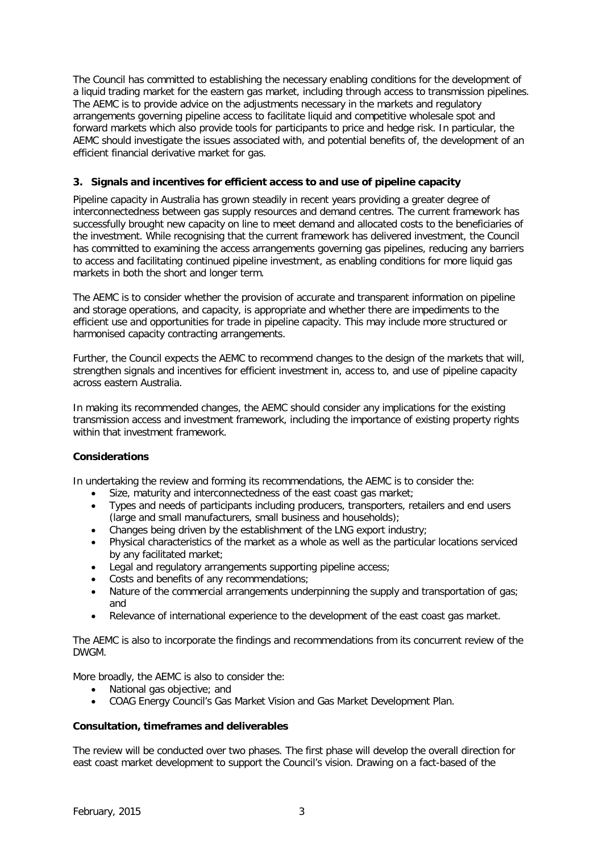The Council has committed to establishing the necessary enabling conditions for the development of a liquid trading market for the eastern gas market, including through access to transmission pipelines. The AEMC is to provide advice on the adjustments necessary in the markets and regulatory arrangements governing pipeline access to facilitate liquid and competitive wholesale spot and forward markets which also provide tools for participants to price and hedge risk. In particular, the AEMC should investigate the issues associated with, and potential benefits of, the development of an efficient financial derivative market for gas.

## **3. Signals and incentives for efficient access to and use of pipeline capacity**

Pipeline capacity in Australia has grown steadily in recent years providing a greater degree of interconnectedness between gas supply resources and demand centres. The current framework has successfully brought new capacity on line to meet demand and allocated costs to the beneficiaries of the investment. While recognising that the current framework has delivered investment, the Council has committed to examining the access arrangements governing gas pipelines, reducing any barriers to access and facilitating continued pipeline investment, as enabling conditions for more liquid gas markets in both the short and longer term.

The AEMC is to consider whether the provision of accurate and transparent information on pipeline and storage operations, and capacity, is appropriate and whether there are impediments to the efficient use and opportunities for trade in pipeline capacity. This may include more structured or harmonised capacity contracting arrangements.

Further, the Council expects the AEMC to recommend changes to the design of the markets that will, strengthen signals and incentives for efficient investment in, access to, and use of pipeline capacity across eastern Australia.

In making its recommended changes, the AEMC should consider any implications for the existing transmission access and investment framework, including the importance of existing property rights within that investment framework.

## **Considerations**

In undertaking the review and forming its recommendations, the AEMC is to consider the:

- Size, maturity and interconnectedness of the east coast gas market;<br>• Types and needs of participants including producers transporters re
- Types and needs of participants including producers, transporters, retailers and end users (large and small manufacturers, small business and households);
- Changes being driven by the establishment of the LNG export industry;
- Physical characteristics of the market as a whole as well as the particular locations serviced by any facilitated market;
- Legal and regulatory arrangements supporting pipeline access;
- Costs and benefits of any recommendations;
- Nature of the commercial arrangements underpinning the supply and transportation of gas; and
- Relevance of international experience to the development of the east coast gas market.

The AEMC is also to incorporate the findings and recommendations from its concurrent review of the **DWGM** 

More broadly, the AEMC is also to consider the:

- National gas objective; and
- COAG Energy Council's Gas Market Vision and Gas Market Development Plan.

## **Consultation, timeframes and deliverables**

The review will be conducted over two phases. The first phase will develop the overall direction for east coast market development to support the Council's vision. Drawing on a fact-based of the